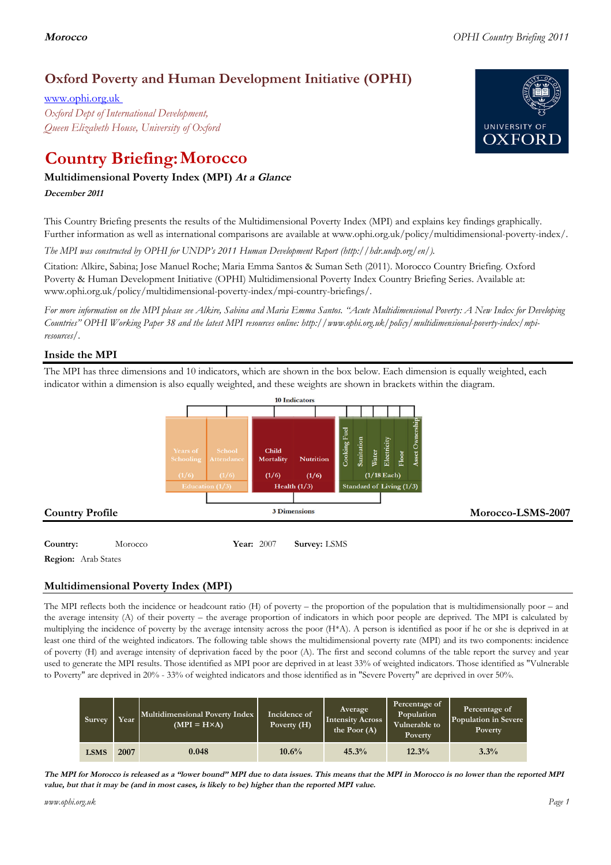# **Oxford Poverty and Human Development Initiative (OPHI)**

www.ophi.org.uk *Oxford Dept of International Development, Queen Elizabeth House, University of Oxford*

# **Country Briefing: Morocco**

### **Multidimensional Poverty Index (MPI) At <sup>a</sup> Glance**

**December <sup>2011</sup>**

This Country Briefing presents the results of the Multidimensional Poverty Index (MPI) and explains key findings graphically. Further information as well as international comparisons are available at www.ophi.org.uk/policy/multidimensional-poverty-index/.

*The MPI was constructed by OPHI for UNDP's 2011 Human Development Report (http://hdr.undp.org/en/).*

Citation: Alkire, Sabina; Jose Manuel Roche; Maria Emma Santos & Suman Seth (2011). Morocco Country Briefing. Oxford Poverty & Human Development Initiative (OPHI) Multidimensional Poverty Index Country Briefing Series. Available at: www.ophi.org.uk/policy/multidimensional-poverty-index/mpi-country-briefings/.

*For more information on the MPI please see Alkire, Sabina and Maria Emma Santos. "Acute Multidimensional Poverty: A New Index for Developing Countries" OPHI Working Paper 38 and the latest MPI resources online: http://www.ophi.org.uk/policy/multidimensional-poverty-index/mpiresources/.*

### **Inside the MPI**

The MPI has three dimensions and 10 indicators, which are shown in the box below. Each dimension is equally weighted, each indicator within a dimension is also equally weighted, and these weights are shown in brackets within the diagram.



**Country:** 3 Morocco 34 **Year:** 2007 **Survey:** LSMS **Region:** Arab States

## **Multidimensional Poverty Index (MPI)**

The MPI reflects both the incidence or headcount ratio (H) of poverty – the proportion of the population that is multidimensionally poor – and the average intensity (A) of their poverty – the average proportion of indicators in which poor people are deprived. The MPI is calculated by multiplying the incidence of poverty by the average intensity across the poor (H\*A). A person is identified as poor if he or she is deprived in at least one third of the weighted indicators. The following table shows the multidimensional poverty rate (MPI) and its two components: incidence of poverty (H) and average intensity of deprivation faced by the poor (A). The first and second columns of the table report the survey and year used to generate the MPI results. Those identified as MPI poor are deprived in at least 33% of weighted indicators. Those identified as "Vulnerable to Poverty" are deprived in 20% - 33% of weighted indicators and those identified as in "Severe Poverty" are deprived in over 50%.

| Survey      | Year | Multidimensional Poverty Index<br>$(MPI = H \times A)$ | Incidence of<br>Poverty (H) | Average<br><b>Intensity Across</b><br>the Poor $(A)$ | Percentage of<br>Population<br>Vulnerable to<br>Poverty | Percentage of<br>Population in Severe<br>Poverty |
|-------------|------|--------------------------------------------------------|-----------------------------|------------------------------------------------------|---------------------------------------------------------|--------------------------------------------------|
| <b>LSMS</b> | 2007 | 0.048                                                  | 10.6%                       | 45.3%                                                | 12.3%                                                   | 3.3%                                             |

The MPI for Morocco is released as a "lower bound" MPI due to data issues. This means that the MPI in Morocco is no lower than the reported MPI value, but that it may be (and in most cases, is likely to be) higher than the reported MPI value.

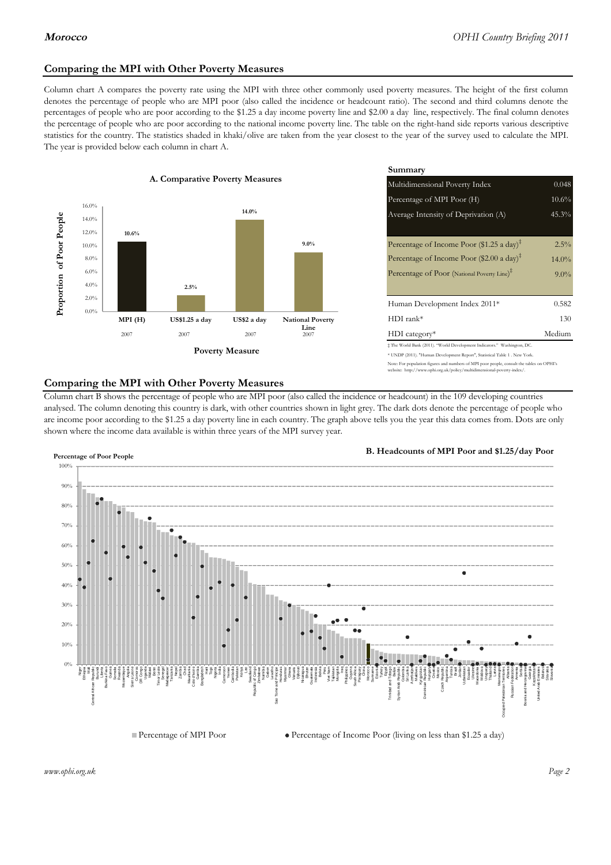### **Comparing the MPI with Other Poverty Measures**

Column chart A compares the poverty rate using the MPI with three other commonly used poverty measures. The height of the first column denotes the percentage of people who are MPI poor (also called the incidence or headcount ratio). The second and third columns denote the percentages of people who are poor according to the \$1.25 a day income poverty line and \$2.00 a day line, respectively. The final column denotes the percentage of people who are poor according to the national income poverty line. The table on the right-hand side reports various descriptive statistics for the country. The statistics shaded in khaki/olive are taken from the year closest to the year of the survey used to calculate the MPI. The year is provided below each column in chart A.



|                 |                         | Summary                                                                                                                                                    |          |  |  |
|-----------------|-------------------------|------------------------------------------------------------------------------------------------------------------------------------------------------------|----------|--|--|
| erty Measures   |                         | 0.048<br>Multidimensional Poverty Index                                                                                                                    |          |  |  |
|                 |                         | Percentage of MPI Poor (H)                                                                                                                                 | 10.6%    |  |  |
| 14.0%           |                         | Average Intensity of Deprivation (A)                                                                                                                       | 45.3%    |  |  |
|                 | $9.0\%$                 | Percentage of Income Poor (\$1.25 a day) <sup><math>\ddagger</math></sup>                                                                                  | $2.5\%$  |  |  |
|                 |                         | Percentage of Income Poor (\$2.00 a day) <sup><math>\bar{x}</math></sup>                                                                                   | $14.0\%$ |  |  |
|                 |                         | Percentage of Poor (National Poverty Line) <sup>#</sup>                                                                                                    | $9.0\%$  |  |  |
|                 |                         | Human Development Index 2011*                                                                                                                              | 0.582    |  |  |
| US\$2 a day     | <b>National Poverty</b> | $HDI$ rank*                                                                                                                                                | 130      |  |  |
| 2007            | Line<br>2007            | $HDI category*$                                                                                                                                            | Medium   |  |  |
| <b>⁄Ieasure</b> |                         | $\pm$ The World Bank (2011). "World Development Indicators." Washington, DC.<br>* UNDP (2011). "Human Development Report", Statistical Table 1 . New York. |          |  |  |

te: For population figures and numbers of MPI poor people, consult the tables on OPHI's te: http://www.ophi.org.uk/policy/multidimensional-poverty-index/

### **Comparing the MPI with Other Poverty Measures**

Column chart B shows the percentage of people who are MPI poor (also called the incidence or headcount) in the 109 developing countries analysed. The column denoting this country is dark, with other countries shown in light grey. The dark dots denote the percentage of people who are income poor according to the \$1.25 a day poverty line in each country. The graph above tells you the year this data comes from. Dots are only shown where the income data available is within three years of the MPI survey year.



**B. Headcounts of MPI Poor and \$1.25/day Poor**



 $\bullet$  Percentage of Income Poor (living on less than \$1.25 a day)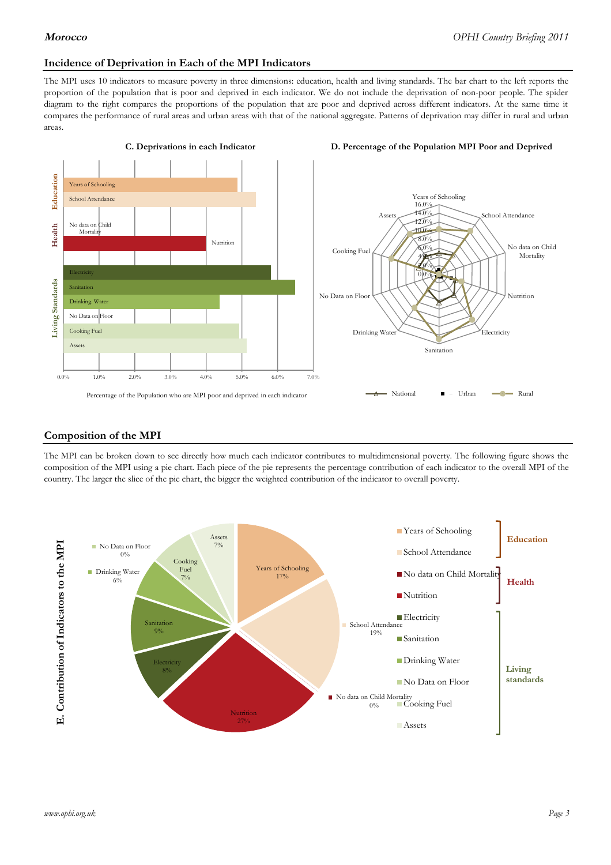### **Incidence of Deprivation in Each of the MPI Indicators**

The MPI uses 10 indicators to measure poverty in three dimensions: education, health and living standards. The bar chart to the left reports the proportion of the population that is poor and deprived in each indicator. We do not include the deprivation of non-poor people. The spider diagram to the right compares the proportions of the population that are poor and deprived across different indicators. At the same time it compares the performance of rural areas and urban areas with that of the national aggregate. Patterns of deprivation may differ in rural and urban areas.



### **Composition of the MPI**

The MPI can be broken down to see directly how much each indicator contributes to multidimensional poverty. The following figure shows the composition of the MPI using a pie chart. Each piece of the pie represents the percentage contribution of each indicator to the overall MPI of the country. The larger the slice of the pie chart, the bigger the weighted contribution of the indicator to overall poverty.